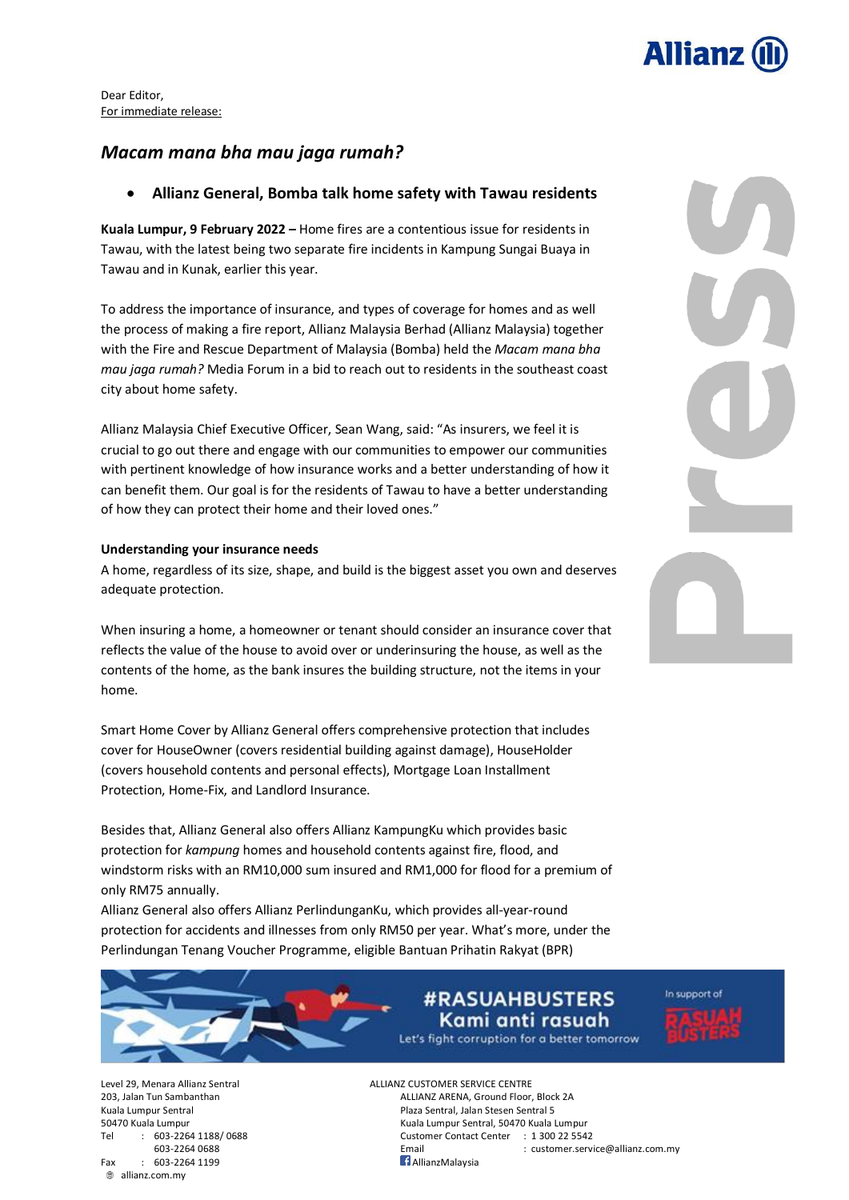

Dear Editor, For immediate release:

# *Macam mana bha mau jaga rumah?*

## • **Allianz General, Bomba talk home safety with Tawau residents**

**Kuala Lumpur, 9 February 2022 –** Home fires are a contentious issue for residents in Tawau, with the latest being two separate fire incidents in Kampung Sungai Buaya in Tawau and in Kunak, earlier this year.

To address the importance of insurance, and types of coverage for homes and as well the process of making a fire report, Allianz Malaysia Berhad (Allianz Malaysia) together with the Fire and Rescue Department of Malaysia (Bomba) held the *Macam mana bha mau jaga rumah?* Media Forum in a bid to reach out to residents in the southeast coast city about home safety.

Allianz Malaysia Chief Executive Officer, Sean Wang, said: "As insurers, we feel it is crucial to go out there and engage with our communities to empower our communities with pertinent knowledge of how insurance works and a better understanding of how it can benefit them. Our goal is for the residents of Tawau to have a better understanding of how they can protect their home and their loved ones."

## **Understanding your insurance needs**

A home, regardless of its size, shape, and build is the biggest asset you own and deserves adequate protection.

When insuring a home, a homeowner or tenant should consider an insurance cover that reflects the value of the house to avoid over or underinsuring the house, as well as the contents of the home, as the bank insures the building structure, not the items in your home.

Smart Home Cover by Allianz General offers comprehensive protection that includes cover for HouseOwner (covers residential building against damage), HouseHolder (covers household contents and personal effects), Mortgage Loan Installment Protection, Home-Fix, and Landlord Insurance.

Besides that, Allianz General also offers Allianz KampungKu which provides basic protection for *kampung* homes and household contents against fire, flood, and windstorm risks with an RM10,000 sum insured and RM1,000 for flood for a premium of only RM75 annually.

Allianz General also offers Allianz PerlindunganKu, which provides all-year-round protection for accidents and illnesses from only RM50 per year. What's more, under the Perlindungan Tenang Voucher Programme, eligible Bantuan Prihatin Rakyat (BPR)



# **#RASUAHBUSTERS** Kami anti rasuah



In support of

Level 29, Menara Allianz Sentral ALLIANZ CUSTOMER SERVICE CENTRE  $Fax$  : 603-2264 1199 allianz.com.my

203, Jalan Tun Sambanthan ALLIANZ ARENA, Ground Floor, Block 2A Kuala Lumpur Sentral **Plaza Sentral, Jalan Stesen Sentral 5** 50470 Kuala Lumpur Kuala Lumpur Sentral, 50470 Kuala Lumpur Tel : 603-2264 1188/ 0688 Customer Contact Center : 1 300 22 5542 Email : customer.service@allianz.com.my<br>1. AllianzMalavsia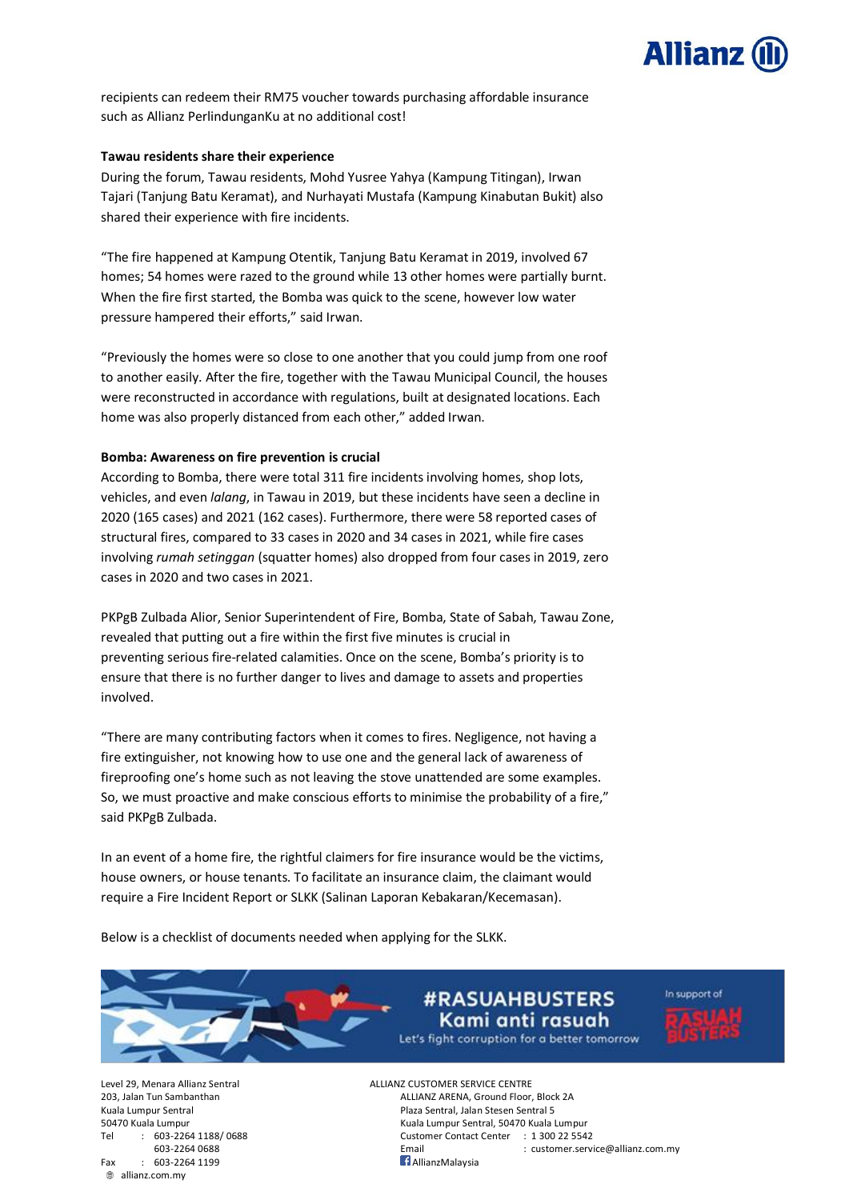

recipients can redeem their RM75 voucher towards purchasing affordable insurance such as Allianz PerlindunganKu at no additional cost!

## **Tawau residents share their experience**

During the forum, Tawau residents, Mohd Yusree Yahya (Kampung Titingan), Irwan Tajari (Tanjung Batu Keramat), and Nurhayati Mustafa (Kampung Kinabutan Bukit) also shared their experience with fire incidents.

"The fire happened at Kampung Otentik, Tanjung Batu Keramat in 2019, involved 67 homes; 54 homes were razed to the ground while 13 other homes were partially burnt. When the fire first started, the Bomba was quick to the scene, however low water pressure hampered their efforts," said Irwan.

"Previously the homes were so close to one another that you could jump from one roof to another easily. After the fire, together with the Tawau Municipal Council, the houses were reconstructed in accordance with regulations, built at designated locations. Each home was also properly distanced from each other," added Irwan.

### **Bomba: Awareness on fire prevention is crucial**

According to Bomba, there were total 311 fire incidents involving homes, shop lots, vehicles, and even *lalang*, in Tawau in 2019, but these incidents have seen a decline in 2020 (165 cases) and 2021 (162 cases). Furthermore, there were 58 reported cases of structural fires, compared to 33 cases in 2020 and 34 cases in 2021, while fire cases involving *rumah setinggan* (squatter homes) also dropped from four cases in 2019, zero cases in 2020 and two cases in 2021.

PKPgB Zulbada Alior, Senior Superintendent of Fire, Bomba, State of Sabah, Tawau Zone, revealed that putting out a fire within the first five minutes is crucial in preventing serious fire-related calamities. Once on the scene, Bomba's priority is to ensure that there is no further danger to lives and damage to assets and properties involved.

"There are many contributing factors when it comes to fires. Negligence, not having a fire extinguisher, not knowing how to use one and the general lack of awareness of fireproofing one's home such as not leaving the stove unattended are some examples. So, we must proactive and make conscious efforts to minimise the probability of a fire," said PKPgB Zulbada.

In an event of a home fire, the rightful claimers for fire insurance would be the victims, house owners, or house tenants. To facilitate an insurance claim, the claimant would require a Fire Incident Report or SLKK (Salinan Laporan Kebakaran/Kecemasan).

Below is a checklist of documents needed when applying for the SLKK.

**#RASUAHBUSTERS** Kami anti rasuah Let's fight corruption for a better tomorrow



Fax : 603-2264 1199 **AllianzMalaysia** allianz.com.my

Level 29, Menara Allianz Sentral ALLIANZ CUSTOMER SERVICE CENTRE 203, Jalan Tun Sambanthan ALLIANZ ARENA, Ground Floor, Block 2A Kuala Lumpur Sentral **Plaza Sentral Sentral Sentral Sentral Sentral Sentral Sentral Sentral Sentral S** 50470 Kuala Lumpur Kuala Lumpur Sentral, 50470 Kuala Lumpur Tel : 603-2264 1188/ 0688 Customer Contact Center : 1 300 22 5542 603-2264 0688 Email : customer.service@allianz.com.my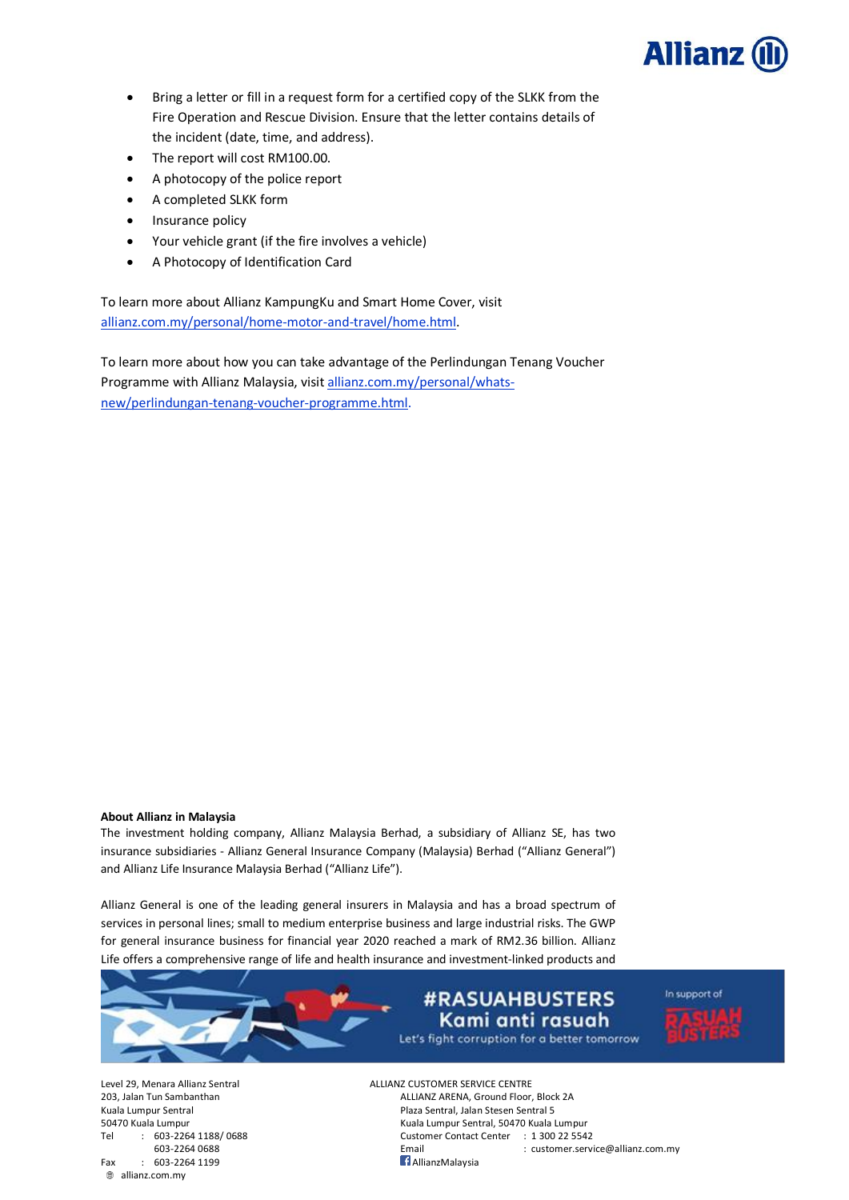

- Bring a letter or fill in a request form for a certified copy of the SLKK from the Fire Operation and Rescue Division. Ensure that the letter contains details of the incident (date, time, and address).
- The report will cost RM100.00.
- A photocopy of the police report
- A completed SLKK form
- Insurance policy
- Your vehicle grant (if the fire involves a vehicle)
- A Photocopy of Identification Card

To learn more about Allianz KampungKu and Smart Home Cover, visit [allianz.com.my/personal/home-motor-and-travel/home.html.](https://www.allianz.com.my/personal/home-motor-and-travel/home.html)

To learn more about how you can take advantage of the Perlindungan Tenang Voucher Programme with Allianz Malaysia, visit [allianz.com.my/personal/whats](https://www.allianz.com.my/personal/whats-new/perlindungan-tenang-voucher-programme.html)[new/perlindungan-tenang-voucher-programme.html.](https://www.allianz.com.my/personal/whats-new/perlindungan-tenang-voucher-programme.html)

#### **About Allianz in Malaysia**

The investment holding company, Allianz Malaysia Berhad, a subsidiary of Allianz SE, has two insurance subsidiaries - Allianz General Insurance Company (Malaysia) Berhad ("Allianz General") and Allianz Life Insurance Malaysia Berhad ("Allianz Life").

Allianz General is one of the leading general insurers in Malaysia and has a broad spectrum of services in personal lines; small to medium enterprise business and large industrial risks. The GWP for general insurance business for financial year 2020 reached a mark of RM2.36 billion. Allianz Life offers a comprehensive range of life and health insurance and investment-linked products and



Fax : 603-2264 1199 **AllianzMalaysia** allianz.com.my

Level 29, Menara Allianz Sentral ALLIANZ CUSTOMER SERVICE CENTRE 203, Jalan Tun Sambanthan ALLIANZ ARENA, Ground Floor, Block 2A Kuala Lumpur Sentral **Plaza Sentral Sentral Sentral Sentral Sentral Sentral Sentral Sentral Sentral S** 50470 Kuala Lumpur Kuala Lumpur Sentral, 50470 Kuala Lumpur Tel : 603-2264 1188/ 0688 Customer Contact Center : 1 300 22 5542 603-2264 0688 Email : customer.service@allianz.com.my